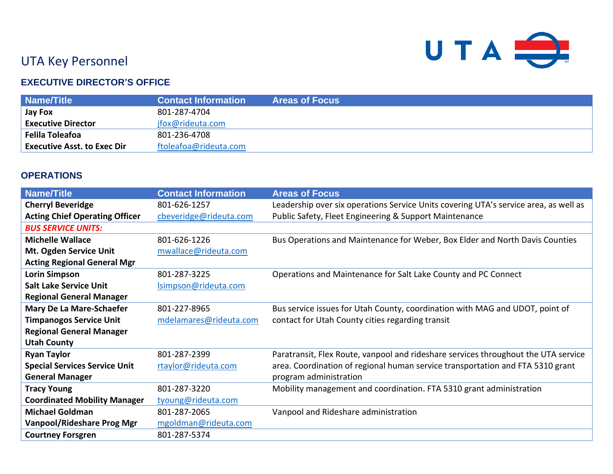

# UTA Key Personnel

## **EXECUTIVE DIRECTOR'S OFFICE**

| Name/Title                         | <b>Contact Information</b> | <b>Areas of Focus</b> |
|------------------------------------|----------------------------|-----------------------|
| <b>Jay Fox</b>                     | 801-287-4704               |                       |
| <b>Executive Director</b>          | jfox@rideuta.com           |                       |
| <b>Felila Toleafoa</b>             | 801-236-4708               |                       |
| <b>Executive Asst. to Exec Dir</b> | ftoleafoa@rideuta.com      |                       |

#### **OPERATIONS**

| <b>Name/Title</b>                     | <b>Contact Information</b> | <b>Areas of Focus</b>                                                                |
|---------------------------------------|----------------------------|--------------------------------------------------------------------------------------|
| <b>Cherryl Beveridge</b>              | 801-626-1257               | Leadership over six operations Service Units covering UTA's service area, as well as |
| <b>Acting Chief Operating Officer</b> | cbeveridge@rideuta.com     | Public Safety, Fleet Engineering & Support Maintenance                               |
| <b>BUS SERVICE UNITS:</b>             |                            |                                                                                      |
| <b>Michelle Wallace</b>               | 801-626-1226               | Bus Operations and Maintenance for Weber, Box Elder and North Davis Counties         |
| Mt. Ogden Service Unit                | mwallace@rideuta.com       |                                                                                      |
| <b>Acting Regional General Mgr</b>    |                            |                                                                                      |
| <b>Lorin Simpson</b>                  | 801-287-3225               | Operations and Maintenance for Salt Lake County and PC Connect                       |
| <b>Salt Lake Service Unit</b>         | Isimpson@rideuta.com       |                                                                                      |
| <b>Regional General Manager</b>       |                            |                                                                                      |
| Mary De La Mare-Schaefer              | 801-227-8965               | Bus service issues for Utah County, coordination with MAG and UDOT, point of         |
| <b>Timpanogos Service Unit</b>        | mdelamares@rideuta.com     | contact for Utah County cities regarding transit                                     |
| <b>Regional General Manager</b>       |                            |                                                                                      |
| <b>Utah County</b>                    |                            |                                                                                      |
| <b>Ryan Taylor</b>                    | 801-287-2399               | Paratransit, Flex Route, vanpool and rideshare services throughout the UTA service   |
| <b>Special Services Service Unit</b>  | rtaylor@rideuta.com        | area. Coordination of regional human service transportation and FTA 5310 grant       |
| <b>General Manager</b>                |                            | program administration                                                               |
| <b>Tracy Young</b>                    | 801-287-3220               | Mobility management and coordination. FTA 5310 grant administration                  |
| <b>Coordinated Mobility Manager</b>   | tyoung@rideuta.com         |                                                                                      |
| <b>Michael Goldman</b>                | 801-287-2065               | Vanpool and Rideshare administration                                                 |
| <b>Vanpool/Rideshare Prog Mgr</b>     | mgoldman@rideuta.com       |                                                                                      |
| <b>Courtney Forsgren</b>              | 801-287-5374               |                                                                                      |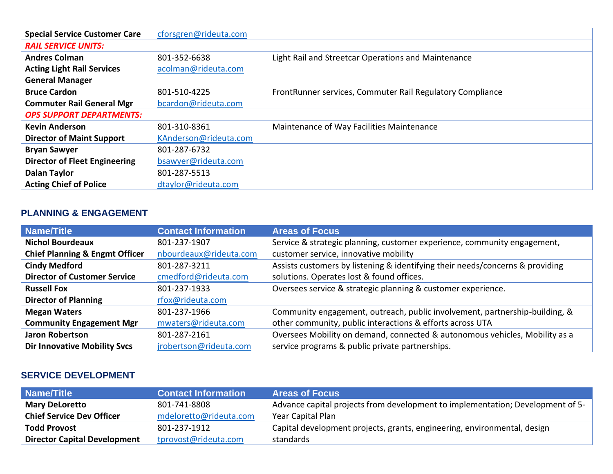| <b>Special Service Customer Care</b> | cforsgren@rideuta.com |                                                           |
|--------------------------------------|-----------------------|-----------------------------------------------------------|
| <b>RAIL SERVICE UNITS:</b>           |                       |                                                           |
| <b>Andres Colman</b>                 | 801-352-6638          | Light Rail and Streetcar Operations and Maintenance       |
| <b>Acting Light Rail Services</b>    | acolman@rideuta.com   |                                                           |
| <b>General Manager</b>               |                       |                                                           |
| <b>Bruce Cardon</b>                  | 801-510-4225          | FrontRunner services, Commuter Rail Regulatory Compliance |
| <b>Commuter Rail General Mgr</b>     | bcardon@rideuta.com   |                                                           |
| <b>OPS SUPPORT DEPARTMENTS:</b>      |                       |                                                           |
| <b>Kevin Anderson</b>                | 801-310-8361          | Maintenance of Way Facilities Maintenance                 |
| <b>Director of Maint Support</b>     | KAnderson@rideuta.com |                                                           |
| <b>Bryan Sawyer</b>                  | 801-287-6732          |                                                           |
| <b>Director of Fleet Engineering</b> | bsawyer@rideuta.com   |                                                           |
| <b>Dalan Taylor</b>                  | 801-287-5513          |                                                           |
| <b>Acting Chief of Police</b>        | dtaylor@rideuta.com   |                                                           |

# **PLANNING & ENGAGEMENT**

| <b>Name/Title</b>                         | <b>Contact Information</b> | <b>Areas of Focus</b>                                                         |
|-------------------------------------------|----------------------------|-------------------------------------------------------------------------------|
| <b>Nichol Bourdeaux</b>                   | 801-237-1907               | Service & strategic planning, customer experience, community engagement,      |
| <b>Chief Planning &amp; Engmt Officer</b> | nbourdeaux@rideuta.com     | customer service, innovative mobility                                         |
| <b>Cindy Medford</b>                      | 801-287-3211               | Assists customers by listening & identifying their needs/concerns & providing |
| <b>Director of Customer Service</b>       | cmedford@rideuta.com       | solutions. Operates lost & found offices.                                     |
| <b>Russell Fox</b>                        | 801-237-1933               | Oversees service & strategic planning & customer experience.                  |
| <b>Director of Planning</b>               | rfox@rideuta.com           |                                                                               |
| <b>Megan Waters</b>                       | 801-237-1966               | Community engagement, outreach, public involvement, partnership-building, &   |
| <b>Community Engagement Mgr</b>           | mwaters@rideuta.com        | other community, public interactions & efforts across UTA                     |
| <b>Jaron Robertson</b>                    | 801-287-2161               | Oversees Mobility on demand, connected & autonomous vehicles, Mobility as a   |
| <b>Dir Innovative Mobility Svcs</b>       | jrobertson@rideuta.com     | service programs & public private partnerships.                               |

#### **SERVICE DEVELOPMENT**

| Name/Title                          | <b>Contact Information</b> | <b>Areas of Focus</b>                                                          |
|-------------------------------------|----------------------------|--------------------------------------------------------------------------------|
| <b>Mary DeLoretto</b>               | 801-741-8808               | Advance capital projects from development to implementation; Development of 5- |
| <b>Chief Service Dev Officer</b>    | mdeloretto@rideuta.com     | Year Capital Plan                                                              |
| <b>Todd Provost</b>                 | 801-237-1912               | Capital development projects, grants, engineering, environmental, design       |
| <b>Director Capital Development</b> | tprovost@rideuta.com       | standards                                                                      |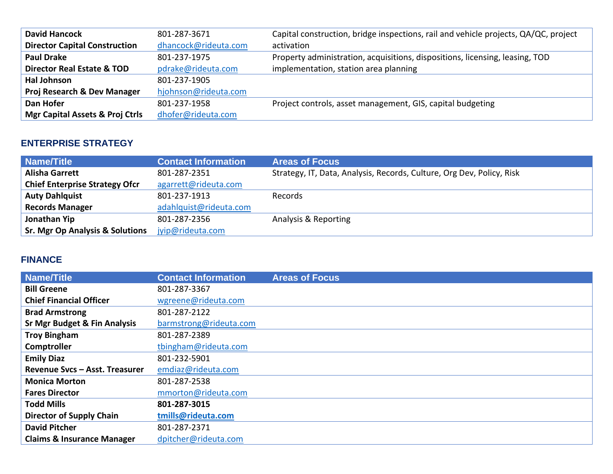| <b>David Hancock</b>                       | 801-287-3671         | Capital construction, bridge inspections, rail and vehicle projects, QA/QC, project |
|--------------------------------------------|----------------------|-------------------------------------------------------------------------------------|
| <b>Director Capital Construction</b>       | dhancock@rideuta.com | activation                                                                          |
| <b>Paul Drake</b>                          | 801-237-1975         | Property administration, acquisitions, dispositions, licensing, leasing, TOD        |
| <b>Director Real Estate &amp; TOD</b>      | pdrake@rideuta.com   | implementation, station area planning                                               |
| <b>Hal Johnson</b>                         | 801-237-1905         |                                                                                     |
| Proj Research & Dev Manager                | hjohnson@rideuta.com |                                                                                     |
| Dan Hofer                                  | 801-237-1958         | Project controls, asset management, GIS, capital budgeting                          |
| <b>Mgr Capital Assets &amp; Proj Ctrls</b> | dhofer@rideuta.com   |                                                                                     |

## **ENTERPRISE STRATEGY**

| <b>Name/Title</b>                          | <b>Contact Information</b> | <b>Areas of Focus</b>                                                 |
|--------------------------------------------|----------------------------|-----------------------------------------------------------------------|
| <b>Alisha Garrett</b>                      | 801-287-2351               | Strategy, IT, Data, Analysis, Records, Culture, Org Dev, Policy, Risk |
| <b>Chief Enterprise Strategy Ofcr</b>      | agarrett@rideuta.com       |                                                                       |
| <b>Auty Dahlquist</b>                      | 801-237-1913               | Records                                                               |
| <b>Records Manager</b>                     | adahlquist@rideuta.com     |                                                                       |
| Jonathan Yip                               | 801-287-2356               | Analysis & Reporting                                                  |
| <b>Sr. Mgr Op Analysis &amp; Solutions</b> | jyip@rideuta.com           |                                                                       |

# **FINANCE**

| <b>Name/Title</b>                       | <b>Contact Information</b> | <b>Areas of Focus</b> |
|-----------------------------------------|----------------------------|-----------------------|
| <b>Bill Greene</b>                      | 801-287-3367               |                       |
| <b>Chief Financial Officer</b>          | wgreene@rideuta.com        |                       |
| <b>Brad Armstrong</b>                   | 801-287-2122               |                       |
| <b>Sr Mgr Budget &amp; Fin Analysis</b> | barmstrong@rideuta.com     |                       |
| <b>Troy Bingham</b>                     | 801-287-2389               |                       |
| Comptroller                             | tbingham@rideuta.com       |                       |
| <b>Emily Diaz</b>                       | 801-232-5901               |                       |
| Revenue Svcs - Asst. Treasurer          | emdiaz@rideuta.com         |                       |
| <b>Monica Morton</b>                    | 801-287-2538               |                       |
| <b>Fares Director</b>                   | mmorton@rideuta.com        |                       |
| <b>Todd Mills</b>                       | 801-287-3015               |                       |
| <b>Director of Supply Chain</b>         | tmills@rideuta.com         |                       |
| <b>David Pitcher</b>                    | 801-287-2371               |                       |
| <b>Claims &amp; Insurance Manager</b>   | dpitcher@rideuta.com       |                       |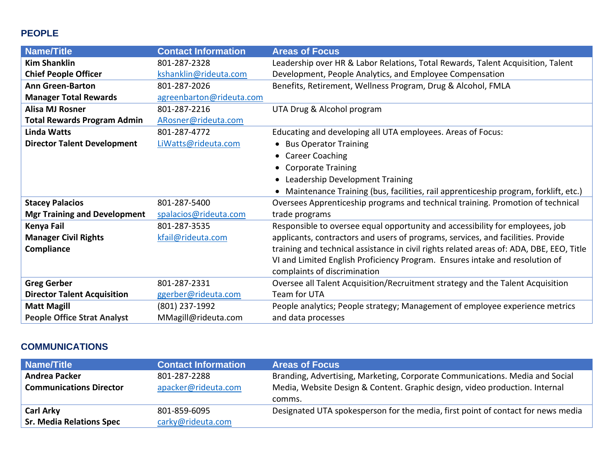## **PEOPLE**

| <b>Name/Title</b>                   | <b>Contact Information</b> | <b>Areas of Focus</b>                                                                    |
|-------------------------------------|----------------------------|------------------------------------------------------------------------------------------|
| <b>Kim Shanklin</b>                 | 801-287-2328               | Leadership over HR & Labor Relations, Total Rewards, Talent Acquisition, Talent          |
| <b>Chief People Officer</b>         | kshanklin@rideuta.com      | Development, People Analytics, and Employee Compensation                                 |
| <b>Ann Green-Barton</b>             | 801-287-2026               | Benefits, Retirement, Wellness Program, Drug & Alcohol, FMLA                             |
| <b>Manager Total Rewards</b>        | agreenbarton@rideuta.com   |                                                                                          |
| <b>Alisa MJ Rosner</b>              | 801-287-2216               | UTA Drug & Alcohol program                                                               |
| <b>Total Rewards Program Admin</b>  | ARosner@rideuta.com        |                                                                                          |
| <b>Linda Watts</b>                  | 801-287-4772               | Educating and developing all UTA employees. Areas of Focus:                              |
| <b>Director Talent Development</b>  | LiWatts@rideuta.com        | <b>Bus Operator Training</b><br>$\bullet$                                                |
|                                     |                            | <b>Career Coaching</b><br>$\bullet$                                                      |
|                                     |                            | <b>Corporate Training</b><br>$\bullet$                                                   |
|                                     |                            | Leadership Development Training<br>$\bullet$                                             |
|                                     |                            | Maintenance Training (bus, facilities, rail apprenticeship program, forklift, etc.)      |
| <b>Stacey Palacios</b>              | 801-287-5400               | Oversees Apprenticeship programs and technical training. Promotion of technical          |
| <b>Mgr Training and Development</b> | spalacios@rideuta.com      | trade programs                                                                           |
| Kenya Fail                          | 801-287-3535               | Responsible to oversee equal opportunity and accessibility for employees, job            |
| <b>Manager Civil Rights</b>         | kfail@rideuta.com          | applicants, contractors and users of programs, services, and facilities. Provide         |
| Compliance                          |                            | training and technical assistance in civil rights related areas of: ADA, DBE, EEO, Title |
|                                     |                            | VI and Limited English Proficiency Program. Ensures intake and resolution of             |
|                                     |                            | complaints of discrimination                                                             |
| <b>Greg Gerber</b>                  | 801-287-2331               | Oversee all Talent Acquisition/Recruitment strategy and the Talent Acquisition           |
| <b>Director Talent Acquisition</b>  | ggerber@rideuta.com        | Team for UTA                                                                             |
| <b>Matt Magill</b>                  | (801) 237-1992             | People analytics; People strategy; Management of employee experience metrics             |
| <b>People Office Strat Analyst</b>  | MMagill@rideuta.com        | and data processes                                                                       |

# **COMMUNICATIONS**

| <b>Name/Title</b>               | <b>Contact Information</b> | <b>Areas of Focus</b>                                                            |
|---------------------------------|----------------------------|----------------------------------------------------------------------------------|
| <b>Andrea Packer</b>            | 801-287-2288               | Branding, Advertising, Marketing, Corporate Communications. Media and Social     |
| <b>Communications Director</b>  | apacker@rideuta.com        | Media, Website Design & Content. Graphic design, video production. Internal      |
|                                 |                            | comms.                                                                           |
| <b>Carl Arky</b>                | 801-859-6095               | Designated UTA spokesperson for the media, first point of contact for news media |
| <b>Sr. Media Relations Spec</b> | carky@rideuta.com          |                                                                                  |